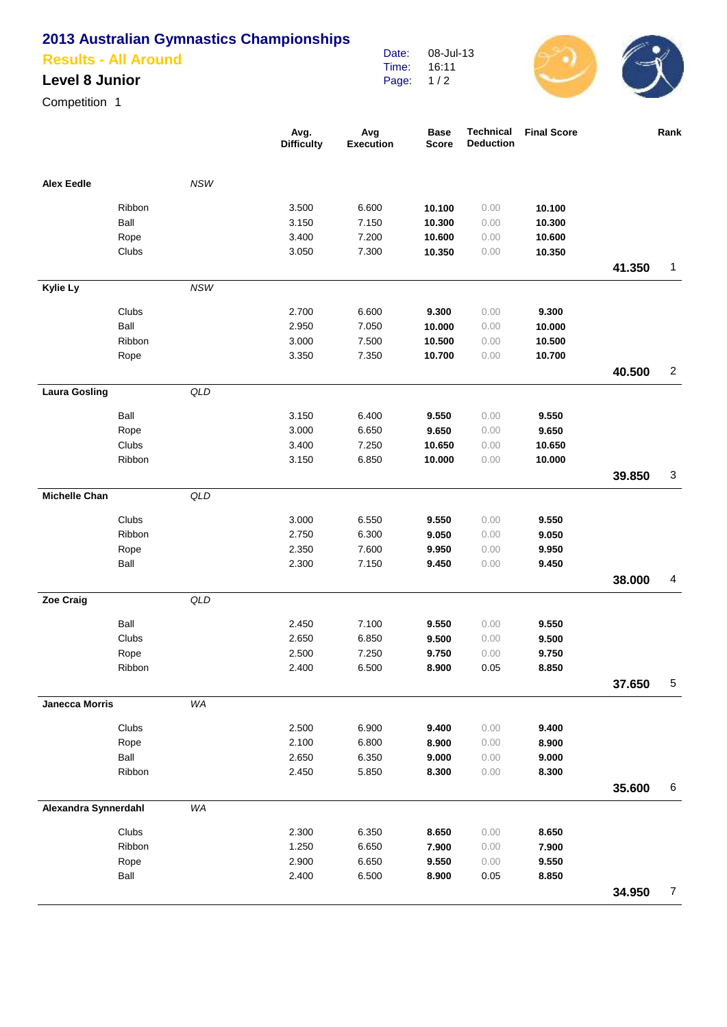# **2013 Australian Gymnastics Championships**

### **Results - All Around**

### **Level 8 Junior**

Competition 1

|                       |        |            | Avg.<br><b>Difficulty</b> | Avg<br><b>Execution</b> | <b>Base</b><br><b>Score</b> | <b>Technical</b><br><b>Deduction</b> | <b>Final Score</b> |        | Rank           |
|-----------------------|--------|------------|---------------------------|-------------------------|-----------------------------|--------------------------------------|--------------------|--------|----------------|
| <b>Alex Eedle</b>     |        | <b>NSW</b> |                           |                         |                             |                                      |                    |        |                |
|                       | Ribbon |            | 3.500                     | 6.600                   | 10.100                      | 0.00                                 | 10.100             |        |                |
|                       | Ball   |            | 3.150                     | 7.150                   | 10.300                      | 0.00                                 | 10.300             |        |                |
|                       | Rope   |            | 3.400                     | 7.200                   | 10.600                      | 0.00                                 | 10.600             |        |                |
|                       | Clubs  |            | 3.050                     | 7.300                   | 10.350                      | 0.00                                 | 10.350             |        |                |
|                       |        |            |                           |                         |                             |                                      |                    | 41.350 | $\mathbf{1}$   |
| Kylie Ly              |        | <b>NSW</b> |                           |                         |                             |                                      |                    |        |                |
|                       | Clubs  |            | 2.700                     | 6.600                   | 9.300                       | 0.00                                 | 9.300              |        |                |
|                       | Ball   |            | 2.950                     | 7.050                   | 10.000                      | 0.00                                 | 10.000             |        |                |
|                       | Ribbon |            | 3.000                     | 7.500                   | 10.500                      | 0.00                                 | 10.500             |        |                |
|                       | Rope   |            | 3.350                     | 7.350                   | 10.700                      | 0.00                                 | 10.700             |        |                |
|                       |        |            |                           |                         |                             |                                      |                    | 40.500 | $\overline{2}$ |
| <b>Laura Gosling</b>  |        | QLD        |                           |                         |                             |                                      |                    |        |                |
|                       | Ball   |            | 3.150                     | 6.400                   | 9.550                       | 0.00                                 | 9.550              |        |                |
|                       | Rope   |            | 3.000                     | 6.650                   | 9.650                       | 0.00                                 | 9.650              |        |                |
|                       | Clubs  |            | 3.400                     | 7.250                   | 10.650                      | 0.00                                 | 10.650             |        |                |
|                       | Ribbon |            | 3.150                     | 6.850                   | 10.000                      | 0.00                                 | 10.000             |        |                |
|                       |        |            |                           |                         |                             |                                      |                    | 39.850 | 3              |
| <b>Michelle Chan</b>  |        | QLD        |                           |                         |                             |                                      |                    |        |                |
|                       | Clubs  |            | 3.000                     | 6.550                   | 9.550                       | 0.00                                 | 9.550              |        |                |
|                       | Ribbon |            | 2.750                     | 6.300                   | 9.050                       | 0.00                                 | 9.050              |        |                |
|                       | Rope   |            | 2.350                     | 7.600                   | 9.950                       | 0.00                                 | 9.950              |        |                |
|                       | Ball   |            | 2.300                     | 7.150                   | 9.450                       | 0.00                                 | 9.450              |        |                |
|                       |        |            |                           |                         |                             |                                      |                    | 38.000 | $\overline{4}$ |
| Zoe Craig             |        | QLD        |                           |                         |                             |                                      |                    |        |                |
|                       | Ball   |            | 2.450                     | 7.100                   | 9.550                       | 0.00                                 | 9.550              |        |                |
|                       | Clubs  |            | 2.650                     | 6.850                   | 9.500                       | 0.00                                 | 9.500              |        |                |
|                       | Rope   |            | 2.500                     | 7.250                   | 9.750                       | 0.00                                 | 9.750              |        |                |
|                       | Ribbon |            | 2.400                     | 6.500                   | 8.900                       | 0.05                                 | 8.850              |        |                |
|                       |        |            |                           |                         |                             |                                      |                    | 37.650 | $\,$ 5 $\,$    |
| <b>Janecca Morris</b> |        | WA         |                           |                         |                             |                                      |                    |        |                |
|                       | Clubs  |            | 2.500                     | 6.900                   | 9.400                       | 0.00                                 | 9.400              |        |                |
|                       | Rope   |            | 2.100                     | 6.800                   | 8.900                       | 0.00                                 | 8.900              |        |                |
|                       | Ball   |            | 2.650                     | 6.350                   | 9.000                       | 0.00                                 | 9.000              |        |                |
|                       | Ribbon |            | 2.450                     | 5.850                   | 8.300                       | 0.00                                 | 8.300              |        |                |
|                       |        |            |                           |                         |                             |                                      |                    | 35.600 | $\,6$          |
| Alexandra Synnerdahl  |        | WA         |                           |                         |                             |                                      |                    |        |                |
|                       | Clubs  |            | 2.300                     | 6.350                   | 8.650                       | 0.00                                 | 8.650              |        |                |
|                       | Ribbon |            | 1.250                     | 6.650                   | 7.900                       | 0.00                                 | 7.900              |        |                |
|                       | Rope   |            | 2.900                     | 6.650                   | 9.550                       | 0.00                                 | 9.550              |        |                |
|                       | Ball   |            | 2.400                     | 6.500                   | 8.900                       | 0.05                                 | 8.850              |        |                |
|                       |        |            |                           |                         |                             |                                      |                    | 34.950 | $\overline{7}$ |

Date: Time: Page: 08-Jul-13 16:11  $1/2$ 

 $\bigcirc$